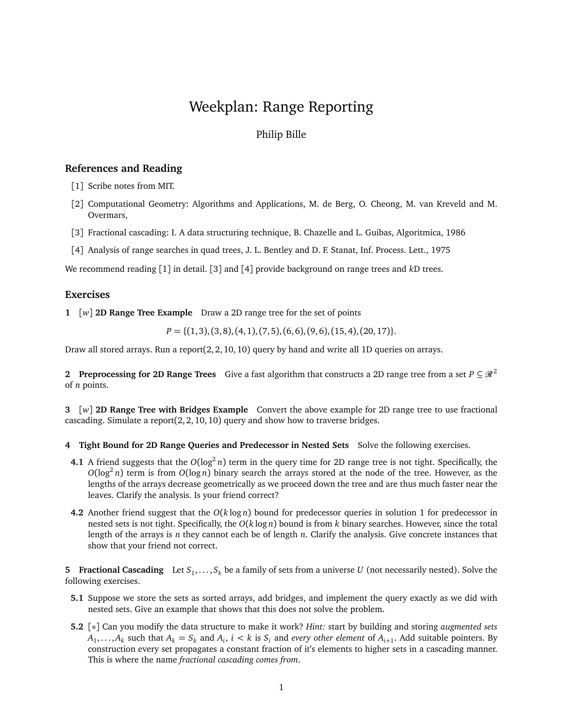# Weekplan: Range Reporting

## Philip Bille

### **References and Reading**

- [1] Scribe notes from MIT.
- [2] Computational Geometry: Algorithms and Applications, M. de Berg, O. Cheong, M. van Kreveld and M. Overmars,
- [3] Fractional cascading: I. A data structuring technique, B. Chazelle and L. Guibas, Algoritmica, 1986
- [4] Analysis of range searches in quad trees, J. L. Bentley and D. F. Stanat, Inf. Process. Lett., 1975

We recommend reading [1] in detail. [3] and [4] provide background on range trees and *k*D trees.

#### **Exercises**

**1** [*w*] **2D Range Tree Example** Draw a 2D range tree for the set of points

 $P = \{(1, 3), (3, 8), (4, 1), (7, 5), (6, 6), (9, 6), (15, 4), (20, 17)\}.$ 

Draw all stored arrays. Run a report $(2, 2, 10, 10)$  query by hand and write all 1D queries on arrays.

**2 Preprocessing for 2D Range Trees** Give a fast algorithm that constructs a 2D range tree from a set  $P \subseteq \mathbb{R}^2$ of *n* points.

**3** [*w*] **2D Range Tree with Bridges Example** Convert the above example for 2D range tree to use fractional cascading. Simulate a report(2, 2, 10, 10) query and show how to traverse bridges.

### **4 Tight Bound for 2D Range Queries and Predecessor in Nested Sets** Solve the following exercises.

- **4.1** A friend suggests that the  $O(log^2 n)$  term in the query time for 2D range tree is not tight. Specifically, the  $O(\log^2 n)$  term is from  $O(\log n)$  binary search the arrays stored at the node of the tree. However, as the lengths of the arrays decrease geometrically as we proceed down the tree and are thus much faster near the leaves. Clarify the analysis. Is your friend correct?
- **4.2** Another friend suggest that the *O*(*k* log *n*) bound for predecessor queries in solution 1 for predecessor in nested sets is not tight. Specifically, the *O*(*k* log *n*) bound is from *k* binary searches. However, since the total length of the arrays is *n* they cannot each be of length *n*. Clarify the analysis. Give concrete instances that show that your friend not correct.

**5 Fractional Cascading** Let  $S_1, \ldots, S_k$  be a family of sets from a universe *U* (not necessarily nested). Solve the following exercises.

- **5.1** Suppose we store the sets as sorted arrays, add bridges, and implement the query exactly as we did with nested sets. Give an example that shows that this does not solve the problem.
- **5.2** [∗] Can you modify the data structure to make it work? *Hint:* start by building and storing *augmented sets*  $A_1, \ldots, A_k$  such that  $A_k = S_k$  and  $A_i$ ,  $i < k$  is  $S_i$  and *every other element* of  $A_{i+1}$ . Add suitable pointers. By construction every set propagates a constant fraction of it's elements to higher sets in a cascading manner. This is where the name *fractional cascading comes from*.